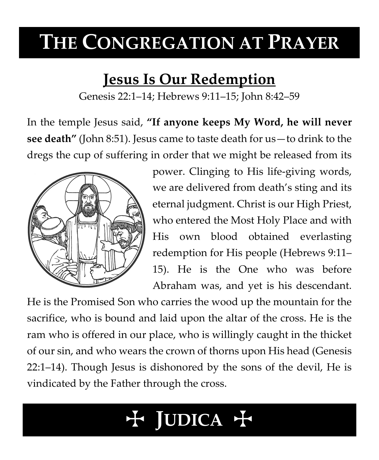# **THE CONGREGATION AT PRAYER**

# **Jesus Is Our Redemption**

Genesis 22:1–14; Hebrews 9:11–15; John 8:42–59

In the temple Jesus said, **"If anyone keeps My Word, he will never see death"** (John 8:51). Jesus came to taste death for us—to drink to the dregs the cup of suffering in order that we might be released from its



power. Clinging to His life-giving words, we are delivered from death's sting and its eternal judgment. Christ is our High Priest, who entered the Most Holy Place and with His own blood obtained everlasting redemption for His people (Hebrews 9:11– 15). He is the One who was before Abraham was, and yet is his descendant.

He is the Promised Son who carries the wood up the mountain for the sacrifice, who is bound and laid upon the altar of the cross. He is the ram who is offered in our place, who is willingly caught in the thicket of our sin, and who wears the crown of thorns upon His head (Genesis 22:1–14). Though Jesus is dishonored by the sons of the devil, He is vindicated by the Father through the cross.

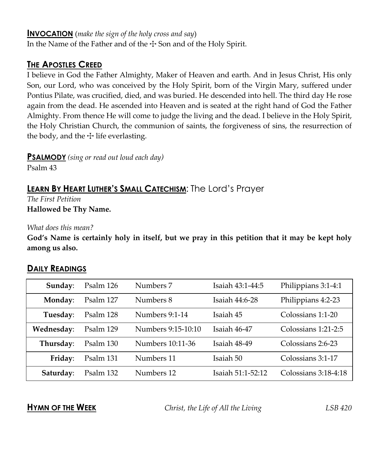#### **INVOCATION** (*make the sign of the holy cross and say*)

In the Name of the Father and of the  $\pm$  Son and of the Holy Spirit.

# **THE APOSTLES CREED**

I believe in God the Father Almighty, Maker of Heaven and earth. And in Jesus Christ, His only Son, our Lord, who was conceived by the Holy Spirit, born of the Virgin Mary, suffered under Pontius Pilate, was crucified, died, and was buried. He descended into hell. The third day He rose again from the dead. He ascended into Heaven and is seated at the right hand of God the Father Almighty. From thence He will come to judge the living and the dead. I believe in the Holy Spirit, the Holy Christian Church, the communion of saints, the forgiveness of sins, the resurrection of the body, and the  $\pm$  life everlasting.

**PSALMODY** *(sing or read out loud each day)*

Psalm 43

# **LEARN BY HEART LUTHER'S SMALL CATECHISM**: The Lord's Prayer

*The First Petition* **Hallowed be Thy Name.**

#### *What does this mean?*

**God's Name is certainly holy in itself, but we pray in this petition that it may be kept holy among us also.**

# **DAILY READINGS**

| Sunday:    | Psalm 126 | Numbers 7          | Isaiah 43:1-44:5  | Philippians 3:1-4:1   |
|------------|-----------|--------------------|-------------------|-----------------------|
| Monday:    | Psalm 127 | Numbers 8          | Isaiah 44:6-28    | Philippians 4:2-23    |
| Tuesday:   | Psalm 128 | Numbers 9:1-14     | Isaiah 45         | Colossians 1:1-20     |
| Wednesday: | Psalm 129 | Numbers 9:15-10:10 | Isaiah 46-47      | Colossians $1:21-2:5$ |
| Thursday:  | Psalm 130 | Numbers 10:11-36   | Isaiah 48-49      | Colossians 2:6-23     |
| Friday:    | Psalm 131 | Numbers 11         | Isaiah 50         | Colossians 3:1-17     |
| Saturday:  | Psalm 132 | Numbers 12         | Isaiah 51:1-52:12 | Colossians 3:18-4:18  |

**HYMN OF THE WEEK** *Christ, the Life of All the Living LSB 420*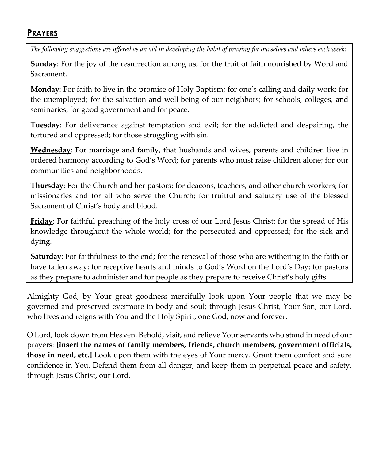## **PRAYERS**

*The following suggestions are offered as an aid in developing the habit of praying for ourselves and others each week:*

**Sunday**: For the joy of the resurrection among us; for the fruit of faith nourished by Word and Sacrament.

**Monday**: For faith to live in the promise of Holy Baptism; for one's calling and daily work; for the unemployed; for the salvation and well-being of our neighbors; for schools, colleges, and seminaries; for good government and for peace.

**Tuesday**: For deliverance against temptation and evil; for the addicted and despairing, the tortured and oppressed; for those struggling with sin.

**Wednesday**: For marriage and family, that husbands and wives, parents and children live in ordered harmony according to God's Word; for parents who must raise children alone; for our communities and neighborhoods.

**Thursday**: For the Church and her pastors; for deacons, teachers, and other church workers; for missionaries and for all who serve the Church; for fruitful and salutary use of the blessed Sacrament of Christ's body and blood.

**Friday**: For faithful preaching of the holy cross of our Lord Jesus Christ; for the spread of His knowledge throughout the whole world; for the persecuted and oppressed; for the sick and dying.

**Saturday**: For faithfulness to the end; for the renewal of those who are withering in the faith or have fallen away; for receptive hearts and minds to God's Word on the Lord's Day; for pastors as they prepare to administer and for people as they prepare to receive Christ's holy gifts.

Almighty God, by Your great goodness mercifully look upon Your people that we may be governed and preserved evermore in body and soul; through Jesus Christ, Your Son, our Lord, who lives and reigns with You and the Holy Spirit, one God, now and forever.

O Lord, look down from Heaven. Behold, visit, and relieve Your servants who stand in need of our prayers: **[insert the names of family members, friends, church members, government officials, those in need, etc.]** Look upon them with the eyes of Your mercy. Grant them comfort and sure confidence in You. Defend them from all danger, and keep them in perpetual peace and safety, through Jesus Christ, our Lord.